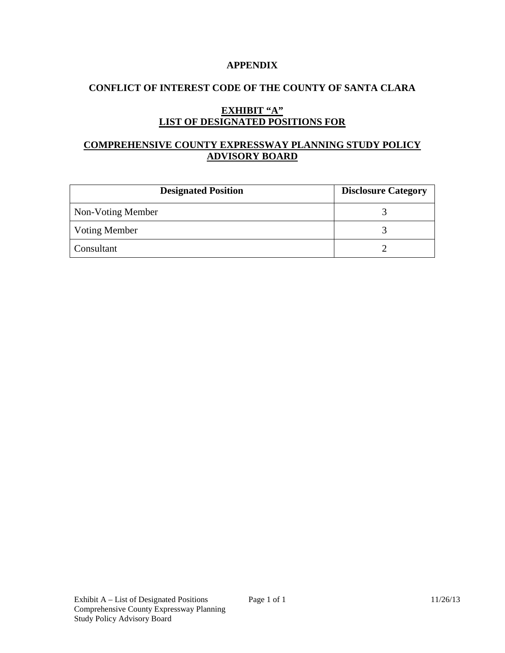#### **APPENDIX**

## **CONFLICT OF INTEREST CODE OF THE COUNTY OF SANTA CLARA**

# **EXHIBIT "A" LIST OF DESIGNATED POSITIONS FOR**

# **COMPREHENSIVE COUNTY EXPRESSWAY PLANNING STUDY POLICY ADVISORY BOARD**

| <b>Designated Position</b> | <b>Disclosure Category</b> |
|----------------------------|----------------------------|
| Non-Voting Member          |                            |
| <b>Voting Member</b>       |                            |
| Consultant                 |                            |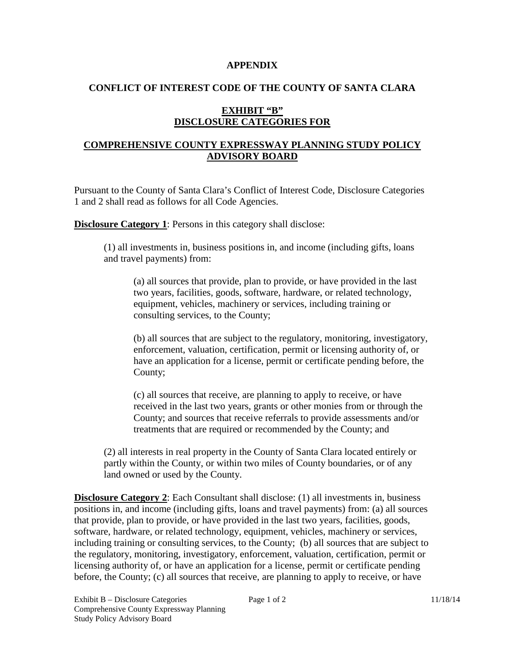#### **APPENDIX**

### **CONFLICT OF INTEREST CODE OF THE COUNTY OF SANTA CLARA**

## **EXHIBIT "B" DISCLOSURE CATEGORIES FOR**

## **COMPREHENSIVE COUNTY EXPRESSWAY PLANNING STUDY POLICY ADVISORY BOARD**

Pursuant to the County of Santa Clara's Conflict of Interest Code, Disclosure Categories 1 and 2 shall read as follows for all Code Agencies.

**Disclosure Category 1**: Persons in this category shall disclose:

(1) all investments in, business positions in, and income (including gifts, loans and travel payments) from:

(a) all sources that provide, plan to provide, or have provided in the last two years, facilities, goods, software, hardware, or related technology, equipment, vehicles, machinery or services, including training or consulting services, to the County;

(b) all sources that are subject to the regulatory, monitoring, investigatory, enforcement, valuation, certification, permit or licensing authority of, or have an application for a license, permit or certificate pending before, the County;

(c) all sources that receive, are planning to apply to receive, or have received in the last two years, grants or other monies from or through the County; and sources that receive referrals to provide assessments and/or treatments that are required or recommended by the County; and

(2) all interests in real property in the County of Santa Clara located entirely or partly within the County, or within two miles of County boundaries, or of any land owned or used by the County.

**Disclosure Category 2**: Each Consultant shall disclose: (1) all investments in, business positions in, and income (including gifts, loans and travel payments) from: (a) all sources that provide, plan to provide, or have provided in the last two years, facilities, goods, software, hardware, or related technology, equipment, vehicles, machinery or services, including training or consulting services, to the County; (b) all sources that are subject to the regulatory, monitoring, investigatory, enforcement, valuation, certification, permit or licensing authority of, or have an application for a license, permit or certificate pending before, the County; (c) all sources that receive, are planning to apply to receive, or have